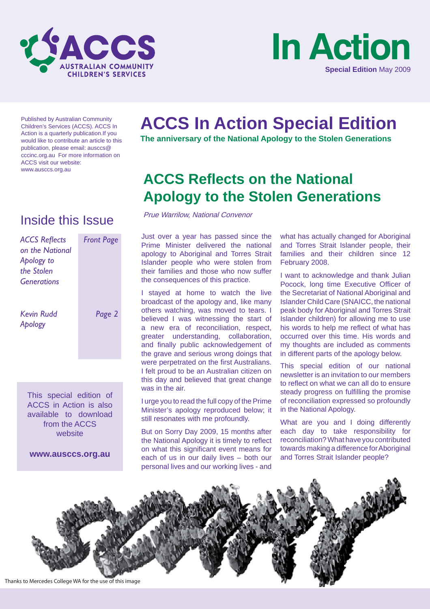



Published by Australian Community Children's Services (ACCS). ACCS In Action is a quarterly publication.If you would like to contribute an article to this publication, please email: ausccs@ cccinc.org.au For more information on ACCS visit our website: www.ausccs.org.au

### Inside this Issue

| <b>ACCS Reflects</b>  | <b>Front Page</b> |  |
|-----------------------|-------------------|--|
| on the National       |                   |  |
| Apology to            |                   |  |
| the Stolen            |                   |  |
| Generations           |                   |  |
| Kevin Rudd<br>Apology | Page 2            |  |

This special edition of ACCS in Action is also available to download from the ACCS website

**www.ausccs.org.au**

# **ACCS In Action Special Edition**

**The anniversary of the National Apology to the Stolen Generations**

## **ACCS Reflects on the National Apology to the Stolen Generations**

Prue Warrilow, National Convenor

Just over a year has passed since the Prime Minister delivered the national apology to Aboriginal and Torres Strait Islander people who were stolen from their families and those who now suffer the consequences of this practice.

I stayed at home to watch the live broadcast of the apology and, like many others watching, was moved to tears. I believed I was witnessing the start of a new era of reconciliation, respect, greater understanding, collaboration, and finally public acknowledgement of the grave and serious wrong doings that were perpetrated on the first Australians. I felt proud to be an Australian citizen on this day and believed that great change was in the air.

I urge you to read the full copy of the Prime Minister's apology reproduced below; it still resonates with me profoundly.

But on Sorry Day 2009, 15 months after the National Apology it is timely to reflect on what this significant event means for each of us in our daily lives – both our personal lives and our working lives - and

what has actually changed for Aboriginal and Torres Strait Islander people, their families and their children since 12 February 2008.

I want to acknowledge and thank Julian Pocock, long time Executive Officer of the Secretariat of National Aboriginal and Islander Child Care (SNAICC, the national peak body for Aboriginal and Torres Strait Islander children) for allowing me to use his words to help me reflect of what has occurred over this time. His words and my thoughts are included as comments in different parts of the apology below.

This special edition of our national newsletter is an invitation to our members to reflect on what we can all do to ensure steady progress on fulfilling the promise of reconciliation expressed so profoundly in the National Apology.

What are you and I doing differently each day to take responsibility for reconciliation? What have you contributed towards making a difference for Aboriginal and Torres Strait Islander people?

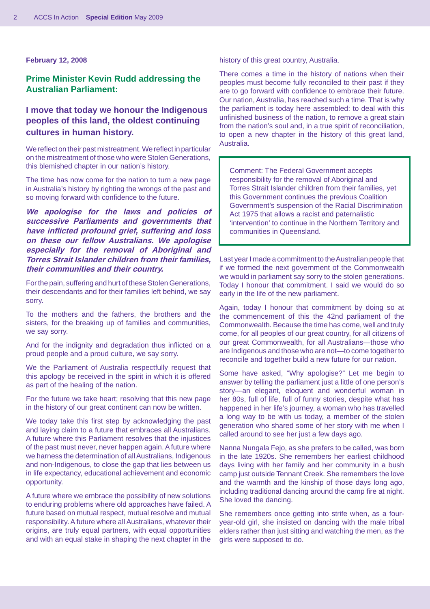**February 12, 2008**

#### **Prime Minister Kevin Rudd addressing the Australian Parliament:**

### **I move that today we honour the Indigenous peoples of this land, the oldest continuing cultures in human history.**

We reflect on their past mistreatment. We reflect in particular on the mistreatment of those who were Stolen Generations, this blemished chapter in our nation's history.

The time has now come for the nation to turn a new page in Australia's history by righting the wrongs of the past and so moving forward with confidence to the future.

**We apologise for the laws and policies of successive Parliaments and governments that have infl icted profound grief, suffering and loss on these our fellow Australians. We apologise especially for the removal of Aboriginal and Torres Strait Islander children from their families, their communities and their country.**

For the pain, suffering and hurt of these Stolen Generations, their descendants and for their families left behind, we say sorry.

To the mothers and the fathers, the brothers and the sisters, for the breaking up of families and communities, we say sorry.

And for the indignity and degradation thus inflicted on a proud people and a proud culture, we say sorry.

We the Parliament of Australia respectfully request that this apology be received in the spirit in which it is offered as part of the healing of the nation.

For the future we take heart; resolving that this new page in the history of our great continent can now be written.

We today take this first step by acknowledging the past and laying claim to a future that embraces all Australians. A future where this Parliament resolves that the injustices of the past must never, never happen again. A future where we harness the determination of all Australians, Indigenous and non-Indigenous, to close the gap that lies between us in life expectancy, educational achievement and economic opportunity.

A future where we embrace the possibility of new solutions to enduring problems where old approaches have failed. A future based on mutual respect, mutual resolve and mutual responsibility. A future where all Australians, whatever their origins, are truly equal partners, with equal opportunities and with an equal stake in shaping the next chapter in the history of this great country, Australia.

There comes a time in the history of nations when their peoples must become fully reconciled to their past if they are to go forward with confidence to embrace their future. Our nation, Australia, has reached such a time. That is why the parliament is today here assembled: to deal with this unfinished business of the nation, to remove a great stain from the nation's soul and, in a true spirit of reconciliation, to open a new chapter in the history of this great land, Australia.

Comment: The Federal Government accepts responsibility for the removal of Aboriginal and Torres Strait Islander children from their families, yet this Government continues the previous Coalition Government's suspension of the Racial Discrimination Act 1975 that allows a racist and paternalistic 'intervention' to continue in the Northern Territory and communities in Queensland.

Last year I made a commitment to the Australian people that if we formed the next government of the Commonwealth we would in parliament say sorry to the stolen generations. Today I honour that commitment. I said we would do so early in the life of the new parliament.

Again, today I honour that commitment by doing so at the commencement of this the 42nd parliament of the Commonwealth. Because the time has come, well and truly come, for all peoples of our great country, for all citizens of our great Commonwealth, for all Australians—those who are Indigenous and those who are not—to come together to reconcile and together build a new future for our nation.

Some have asked, "Why apologise?" Let me begin to answer by telling the parliament just a little of one person's story—an elegant, eloquent and wonderful woman in her 80s, full of life, full of funny stories, despite what has happened in her life's journey, a woman who has travelled a long way to be with us today, a member of the stolen generation who shared some of her story with me when I called around to see her just a few days ago.

Nanna Nungala Fejo, as she prefers to be called, was born in the late 1920s. She remembers her earliest childhood days living with her family and her community in a bush camp just outside Tennant Creek. She remembers the love and the warmth and the kinship of those days long ago, including traditional dancing around the camp fire at night. She loved the dancing.

She remembers once getting into strife when, as a fouryear-old girl, she insisted on dancing with the male tribal elders rather than just sitting and watching the men, as the girls were supposed to do.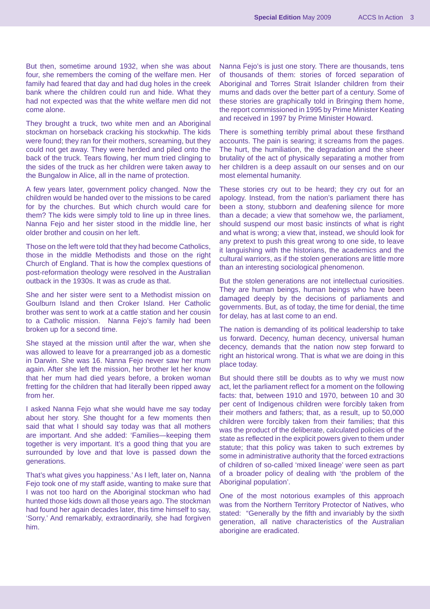But then, sometime around 1932, when she was about four, she remembers the coming of the welfare men. Her family had feared that day and had dug holes in the creek bank where the children could run and hide. What they had not expected was that the white welfare men did not come alone.

They brought a truck, two white men and an Aboriginal stockman on horseback cracking his stockwhip. The kids were found; they ran for their mothers, screaming, but they could not get away. They were herded and piled onto the back of the truck. Tears flowing, her mum tried clinging to the sides of the truck as her children were taken away to the Bungalow in Alice, all in the name of protection.

A few years later, government policy changed. Now the children would be handed over to the missions to be cared for by the churches. But which church would care for them? The kids were simply told to line up in three lines. Nanna Fejo and her sister stood in the middle line, her older brother and cousin on her left.

Those on the left were told that they had become Catholics, those in the middle Methodists and those on the right Church of England. That is how the complex questions of post-reformation theology were resolved in the Australian outback in the 1930s. It was as crude as that.

She and her sister were sent to a Methodist mission on Goulburn Island and then Croker Island. Her Catholic brother was sent to work at a cattle station and her cousin to a Catholic mission. Nanna Fejo's family had been broken up for a second time.

She stayed at the mission until after the war, when she was allowed to leave for a prearranged job as a domestic in Darwin. She was 16. Nanna Fejo never saw her mum again. After she left the mission, her brother let her know that her mum had died years before, a broken woman fretting for the children that had literally been ripped away from her.

I asked Nanna Fejo what she would have me say today about her story. She thought for a few moments then said that what I should say today was that all mothers are important. And she added: 'Families—keeping them together is very important. It's a good thing that you are surrounded by love and that love is passed down the generations.

That's what gives you happiness.' As I left, later on, Nanna Fejo took one of my staff aside, wanting to make sure that I was not too hard on the Aboriginal stockman who had hunted those kids down all those years ago. The stockman had found her again decades later, this time himself to say, 'Sorry.' And remarkably, extraordinarily, she had forgiven him.

Nanna Fejo's is just one story. There are thousands, tens of thousands of them: stories of forced separation of Aboriginal and Torres Strait Islander children from their mums and dads over the better part of a century. Some of these stories are graphically told in Bringing them home, the report commissioned in 1995 by Prime Minister Keating and received in 1997 by Prime Minister Howard.

There is something terribly primal about these firsthand accounts. The pain is searing; it screams from the pages. The hurt, the humiliation, the degradation and the sheer brutality of the act of physically separating a mother from her children is a deep assault on our senses and on our most elemental humanity.

These stories cry out to be heard; they cry out for an apology. Instead, from the nation's parliament there has been a stony, stubborn and deafening silence for more than a decade; a view that somehow we, the parliament, should suspend our most basic instincts of what is right and what is wrong; a view that, instead, we should look for any pretext to push this great wrong to one side, to leave it languishing with the historians, the academics and the cultural warriors, as if the stolen generations are little more than an interesting sociological phenomenon.

But the stolen generations are not intellectual curiosities. They are human beings, human beings who have been damaged deeply by the decisions of parliaments and governments. But, as of today, the time for denial, the time for delay, has at last come to an end.

The nation is demanding of its political leadership to take us forward. Decency, human decency, universal human decency, demands that the nation now step forward to right an historical wrong. That is what we are doing in this place today.

But should there still be doubts as to why we must now act, let the parliament reflect for a moment on the following facts: that, between 1910 and 1970, between 10 and 30 per cent of Indigenous children were forcibly taken from their mothers and fathers; that, as a result, up to 50,000 children were forcibly taken from their families; that this was the product of the deliberate, calculated policies of the state as reflected in the explicit powers given to them under statute; that this policy was taken to such extremes by some in administrative authority that the forced extractions of children of so-called 'mixed lineage' were seen as part of a broader policy of dealing with 'the problem of the Aboriginal population'.

One of the most notorious examples of this approach was from the Northern Territory Protector of Natives, who stated: "Generally by the fifth and invariably by the sixth generation, all native characteristics of the Australian aborigine are eradicated.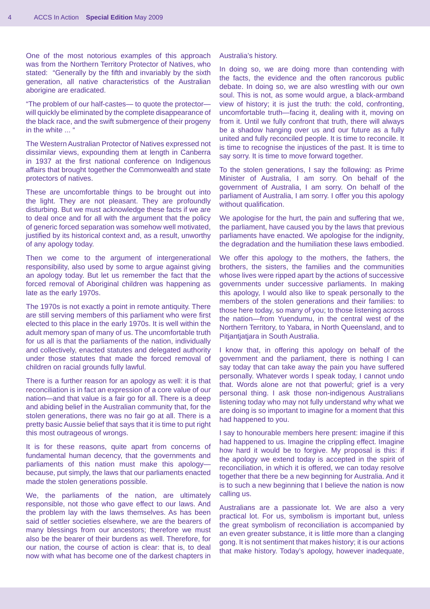One of the most notorious examples of this approach was from the Northern Territory Protector of Natives, who stated: "Generally by the fifth and invariably by the sixth generation, all native characteristics of the Australian aborigine are eradicated.

"The problem of our half-castes— to quote the protector will quickly be eliminated by the complete disappearance of the black race, and the swift submergence of their progeny in the white ... "

The Western Australian Protector of Natives expressed not dissimilar views, expounding them at length in Canberra in 1937 at the first national conference on Indigenous affairs that brought together the Commonwealth and state protectors of natives.

These are uncomfortable things to be brought out into the light. They are not pleasant. They are profoundly disturbing. But we must acknowledge these facts if we are to deal once and for all with the argument that the policy of generic forced separation was somehow well motivated, justified by its historical context and, as a result, unworthy of any apology today.

Then we come to the argument of intergenerational responsibility, also used by some to argue against giving an apology today. But let us remember the fact that the forced removal of Aboriginal children was happening as late as the early 1970s.

The 1970s is not exactly a point in remote antiquity. There are still serving members of this parliament who were first elected to this place in the early 1970s. It is well within the adult memory span of many of us. The uncomfortable truth for us all is that the parliaments of the nation, individually and collectively, enacted statutes and delegated authority under those statutes that made the forced removal of children on racial grounds fully lawful.

There is a further reason for an apology as well: it is that reconciliation is in fact an expression of a core value of our nation—and that value is a fair go for all. There is a deep and abiding belief in the Australian community that, for the stolen generations, there was no fair go at all. There is a pretty basic Aussie belief that says that it is time to put right this most outrageous of wrongs.

It is for these reasons, quite apart from concerns of fundamental human decency, that the governments and parliaments of this nation must make this apology because, put simply, the laws that our parliaments enacted made the stolen generations possible.

We, the parliaments of the nation, are ultimately responsible, not those who gave effect to our laws. And the problem lay with the laws themselves. As has been said of settler societies elsewhere, we are the bearers of many blessings from our ancestors; therefore we must also be the bearer of their burdens as well. Therefore, for our nation, the course of action is clear: that is, to deal now with what has become one of the darkest chapters in Australia's history.

In doing so, we are doing more than contending with the facts, the evidence and the often rancorous public debate. In doing so, we are also wrestling with our own soul. This is not, as some would argue, a black-armband view of history; it is just the truth: the cold, confronting, uncomfortable truth—facing it, dealing with it, moving on from it. Until we fully confront that truth, there will always be a shadow hanging over us and our future as a fully united and fully reconciled people. It is time to reconcile. It is time to recognise the injustices of the past. It is time to say sorry. It is time to move forward together.

To the stolen generations, I say the following: as Prime Minister of Australia, I am sorry. On behalf of the government of Australia, I am sorry. On behalf of the parliament of Australia, I am sorry. I offer you this apology without qualification.

We apologise for the hurt, the pain and suffering that we, the parliament, have caused you by the laws that previous parliaments have enacted. We apologise for the indignity, the degradation and the humiliation these laws embodied.

We offer this apology to the mothers, the fathers, the brothers, the sisters, the families and the communities whose lives were ripped apart by the actions of successive governments under successive parliaments. In making this apology, I would also like to speak personally to the members of the stolen generations and their families: to those here today, so many of you; to those listening across the nation—from Yuendumu, in the central west of the Northern Territory, to Yabara, in North Queensland, and to Pitjantjatjara in South Australia.

I know that, in offering this apology on behalf of the government and the parliament, there is nothing I can say today that can take away the pain you have suffered personally. Whatever words I speak today, I cannot undo that. Words alone are not that powerful; grief is a very personal thing. I ask those non-indigenous Australians listening today who may not fully understand why what we are doing is so important to imagine for a moment that this had happened to you.

I say to honourable members here present: imagine if this had happened to us. Imagine the crippling effect. Imagine how hard it would be to forgive. My proposal is this: if the apology we extend today is accepted in the spirit of reconciliation, in which it is offered, we can today resolve together that there be a new beginning for Australia. And it is to such a new beginning that I believe the nation is now calling us.

Australians are a passionate lot. We are also a very practical lot. For us, symbolism is important but, unless the great symbolism of reconciliation is accompanied by an even greater substance, it is little more than a clanging gong. It is not sentiment that makes history; it is our actions that make history. Today's apology, however inadequate,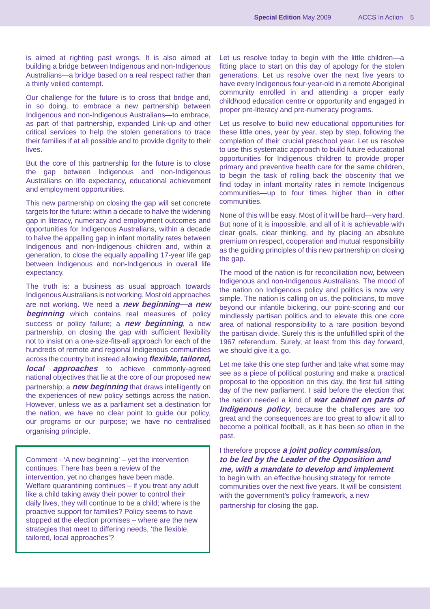is aimed at righting past wrongs. It is also aimed at building a bridge between Indigenous and non-Indigenous Australians—a bridge based on a real respect rather than a thinly veiled contempt.

Our challenge for the future is to cross that bridge and, in so doing, to embrace a new partnership between Indigenous and non-Indigenous Australians—to embrace, as part of that partnership, expanded Link-up and other critical services to help the stolen generations to trace their families if at all possible and to provide dignity to their lives.

But the core of this partnership for the future is to close the gap between Indigenous and non-Indigenous Australians on life expectancy, educational achievement and employment opportunities.

This new partnership on closing the gap will set concrete targets for the future: within a decade to halve the widening gap in literacy, numeracy and employment outcomes and opportunities for Indigenous Australians, within a decade to halve the appalling gap in infant mortality rates between Indigenous and non-Indigenous children and, within a generation, to close the equally appalling 17-year life gap between Indigenous and non-Indigenous in overall life expectancy.

The truth is: a business as usual approach towards Indigenous Australians is not working. Most old approaches are not working. We need a **new beginning—a new beginning** which contains real measures of policy success or policy failure; a **new beginning**, a new partnership, on closing the gap with sufficient flexibility not to insist on a one-size-fits-all approach for each of the hundreds of remote and regional Indigenous communities across the country but instead allowing **flexible, tailored,** *local approaches* to achieve commonly-agreed national objectives that lie at the core of our proposed new partnership; a **new beginning** that draws intelligently on the experiences of new policy settings across the nation. However, unless we as a parliament set a destination for the nation, we have no clear point to guide our policy, our programs or our purpose; we have no centralised organising principle.

Comment - 'A new beginning' – yet the intervention continues. There has been a review of the intervention, yet no changes have been made. Welfare quarantining continues – if you treat any adult like a child taking away their power to control their daily lives, they will continue to be a child; where is the proactive support for families? Policy seems to have stopped at the election promises – where are the new strategies that meet to differing needs, 'the flexible, tailored, local approaches'?

Let us resolve today to begin with the little children—a fitting place to start on this day of apology for the stolen generations. Let us resolve over the next five years to have every Indigenous four-year-old in a remote Aboriginal community enrolled in and attending a proper early childhood education centre or opportunity and engaged in proper pre-literacy and pre-numeracy programs.

Let us resolve to build new educational opportunities for these little ones, year by year, step by step, following the completion of their crucial preschool year. Let us resolve to use this systematic approach to build future educational opportunities for Indigenous children to provide proper primary and preventive health care for the same children, to begin the task of rolling back the obscenity that we find today in infant mortality rates in remote Indigenous communities—up to four times higher than in other communities.

None of this will be easy. Most of it will be hard—very hard. But none of it is impossible, and all of it is achievable with clear goals, clear thinking, and by placing an absolute premium on respect, cooperation and mutual responsibility as the guiding principles of this new partnership on closing the gap.

The mood of the nation is for reconciliation now, between Indigenous and non-Indigenous Australians. The mood of the nation on Indigenous policy and politics is now very simple. The nation is calling on us, the politicians, to move beyond our infantile bickering, our point-scoring and our mindlessly partisan politics and to elevate this one core area of national responsibility to a rare position beyond the partisan divide. Surely this is the unfulfilled spirit of the 1967 referendum. Surely, at least from this day forward, we should give it a go.

Let me take this one step further and take what some may see as a piece of political posturing and make a practical proposal to the opposition on this day, the first full sitting day of the new parliament. I said before the election that the nation needed a kind of **war cabinet on parts of Indigenous policy**, because the challenges are too great and the consequences are too great to allow it all to become a political football, as it has been so often in the past.

I therefore propose **a joint policy commission, to be led by the Leader of the Opposition and me, with a mandate to develop and implement**, to begin with, an effective housing strategy for remote communities over the next five years. It will be consistent with the government's policy framework, a new partnership for closing the gap.